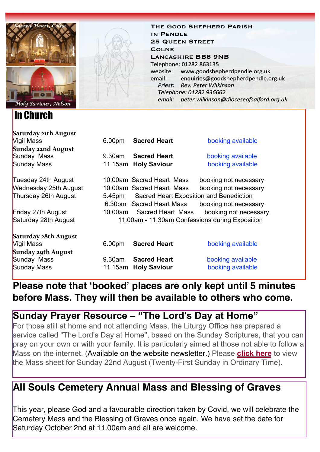

## In Church

THE GOOD SHEPHERD PARISH IN PENDLE **25 QUEEN STREET COLNE LANCASHIRE BB8 9NB** Telephone: 01282 863135 website: www.goodshepherdpendle.org.uk email: enquiries@goodshepherdpendle.org.uk Priest: Rev. Peter Wilkinson Telephone: 01282 936662 email: peter.wilkinson@dioceseofsalford.org.uk

| Saturday 21th August         |                                                          |                           |                       |
|------------------------------|----------------------------------------------------------|---------------------------|-----------------------|
| Vigil Mass                   | 6.00 <sub>pm</sub>                                       | <b>Sacred Heart</b>       | booking available     |
| Sunday 22nd August           |                                                          |                           |                       |
| Sunday Mass                  | $9.30$ am                                                | <b>Sacred Heart</b>       | booking available     |
| Sunday Mass                  |                                                          | 11.15am Holy Saviour      | booking available     |
| Tuesday 24th August          |                                                          | 10.00am Sacred Heart Mass | booking not necessary |
| <b>Wednesday 25th August</b> |                                                          | 10.00am Sacred Heart Mass | booking not necessary |
| Thursday 26th August         | <b>Sacred Heart Exposition and Benediction</b><br>5.45pm |                           |                       |
|                              |                                                          | 6.30pm Sacred Heart Mass  | booking not necessary |
| Friday 27th August           | 10.00am                                                  | Sacred Heart Mass         | booking not necessary |
| Saturday 28th August         | 11.00am - 11.30am Confessions during Exposition          |                           |                       |
| Saturday 28th August         |                                                          |                           |                       |
| Vigil Mass                   | 6.00pm                                                   | <b>Sacred Heart</b>       | booking available     |
| Sunday 29th August           |                                                          |                           |                       |
| Sunday Mass                  | 9.30am                                                   | <b>Sacred Heart</b>       | booking available     |
| Sunday Mass                  |                                                          | 11.15am Holy Saviour      | booking available     |

## **Please note that 'booked' places are only kept until 5 minutes before Mass. They will then be available to others who come.**

## **Sunday Prayer Resource – "The Lord's Day at Home"**

For those still at home and not attending Mass, the Liturgy Office has prepared a service called "The Lord's Day at Home", based on the Sunday Scriptures, that you can pray on your own or with your family. It is particularly aimed at those not able to follow a Mass on the internet. (Available on the website newsletter.) Please **[click here](https://gbr01.safelinks.protection.outlook.com/?url=https%3A%2F%2Fdioceseofsalford.us6.list-manage.com%2Ftrack%2Fclick%3Fu%3D76e219dab8653b775ba8aac4c%26id%3D5e1a63acaa%26e%3D5ce69633f0&data=04%7C01%7Cpeter.wilkinson%40dioceseofsalford.org.uk%7Cb85f61a0a4924ae51a5208d962245575%7C699a61ae142a45a090c604b2f08de19b%7C0%7C0%7C637648730455204582%7CUnknown%7CTWFpbGZsb3d8eyJWIjoiMC4wLjAwMDAiLCJQIjoiV2luMzIiLCJBTiI6Ik1haWwiLCJXVCI6Mn0%3D%7C1000&sdata=TNptiV2KksmzfrJQ8%2FqqlHpkoSUqli2DwhqINJdO7ZE%3D&reserved=0)** to view the Mass sheet for Sunday 22nd August (Twenty-First Sunday in Ordinary Time).

## **All Souls Cemetery Annual Mass and Blessing of Graves**

This year, please God and a favourable direction taken by Covid, we will celebrate the Cemetery Mass and the Blessing of Graves once again. We have set the date for Saturday October 2nd at 11.00am and all are welcome.